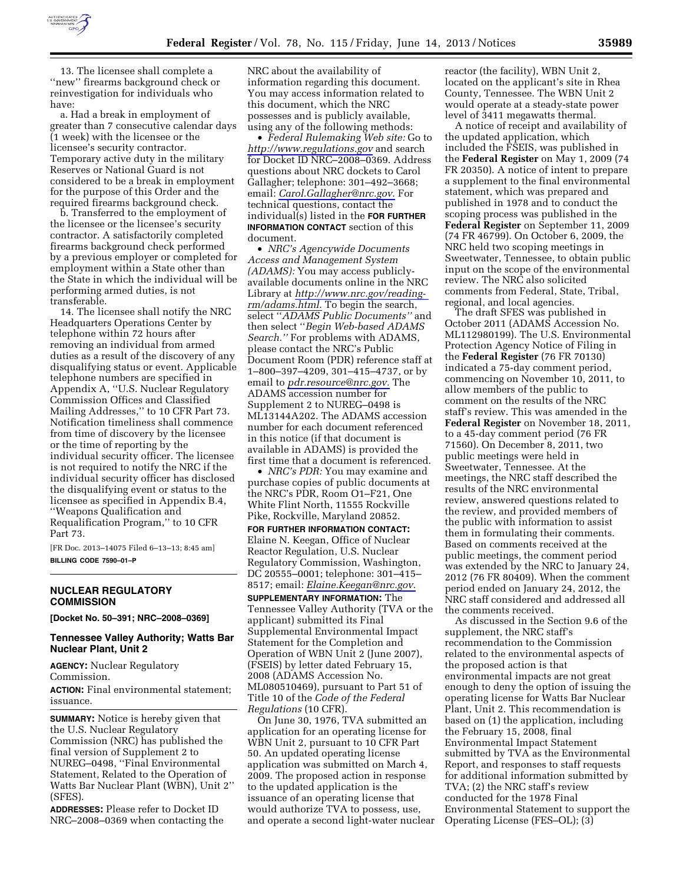

13. The licensee shall complete a ''new'' firearms background check or reinvestigation for individuals who have:

a. Had a break in employment of greater than 7 consecutive calendar days (1 week) with the licensee or the licensee's security contractor. Temporary active duty in the military Reserves or National Guard is not considered to be a break in employment for the purpose of this Order and the required firearms background check.

b. Transferred to the employment of the licensee or the licensee's security contractor. A satisfactorily completed firearms background check performed by a previous employer or completed for employment within a State other than the State in which the individual will be performing armed duties, is not transferable.

14. The licensee shall notify the NRC Headquarters Operations Center by telephone within 72 hours after removing an individual from armed duties as a result of the discovery of any disqualifying status or event. Applicable telephone numbers are specified in Appendix A, ''U.S. Nuclear Regulatory Commission Offices and Classified Mailing Addresses,'' to 10 CFR Part 73. Notification timeliness shall commence from time of discovery by the licensee or the time of reporting by the individual security officer. The licensee is not required to notify the NRC if the individual security officer has disclosed the disqualifying event or status to the licensee as specified in Appendix B.4, ''Weapons Qualification and Requalification Program,'' to 10 CFR Part 73.

[FR Doc. 2013–14075 Filed 6–13–13; 8:45 am] **BILLING CODE 7590–01–P** 

## **NUCLEAR REGULATORY COMMISSION**

**[Docket No. 50–391; NRC–2008–0369]** 

## **Tennessee Valley Authority; Watts Bar Nuclear Plant, Unit 2**

**AGENCY:** Nuclear Regulatory Commission.

**ACTION:** Final environmental statement; issuance.

**SUMMARY:** Notice is hereby given that the U.S. Nuclear Regulatory Commission (NRC) has published the final version of Supplement 2 to NUREG–0498, ''Final Environmental Statement, Related to the Operation of Watts Bar Nuclear Plant (WBN), Unit 2'' (SFES).

**ADDRESSES:** Please refer to Docket ID NRC–2008–0369 when contacting the NRC about the availability of information regarding this document. You may access information related to this document, which the NRC possesses and is publicly available, using any of the following methods:

• *Federal Rulemaking Web site:* Go to *<http://www.regulations.gov>* and search for Docket ID NRC–2008–0369. Address questions about NRC dockets to Carol Gallagher; telephone: 301–492–3668; email: *[Carol.Gallagher@nrc.gov](mailto:Carol.Gallagher@nrc.gov)*. For technical questions, contact the individual(s) listed in the **FOR FURTHER INFORMATION CONTACT** section of this document.

• *NRC's Agencywide Documents Access and Management System (ADAMS):* You may access publiclyavailable documents online in the NRC Library at *[http://www.nrc.gov/reading](http://www.nrc.gov/reading-rm/adams.html)[rm/adams.html](http://www.nrc.gov/reading-rm/adams.html)*. To begin the search, select ''*ADAMS Public Documents''* and then select ''*Begin Web-based ADAMS Search.''* For problems with ADAMS, please contact the NRC's Public Document Room (PDR) reference staff at 1–800–397–4209, 301–415–4737, or by email to *[pdr.resource@nrc.gov.](mailto:pdr.resource@nrc.gov)* The ADAMS accession number for Supplement 2 to NUREG–0498 is ML13144A202. The ADAMS accession number for each document referenced in this notice (if that document is available in ADAMS) is provided the first time that a document is referenced.

• *NRC's PDR:* You may examine and purchase copies of public documents at the NRC's PDR, Room O1–F21, One White Flint North, 11555 Rockville Pike, Rockville, Maryland 20852.

**FOR FURTHER INFORMATION CONTACT:**  Elaine N. Keegan, Office of Nuclear Reactor Regulation, U.S. Nuclear Regulatory Commission, Washington, DC 20555–0001; telephone: 301–415– 8517; email: *[Elaine.Keegan@nrc.gov](mailto:Elaine.Keegan@nrc.gov)*.

**SUPPLEMENTARY INFORMATION:** The Tennessee Valley Authority (TVA or the applicant) submitted its Final Supplemental Environmental Impact Statement for the Completion and Operation of WBN Unit 2 (June 2007), (FSEIS) by letter dated February 15, 2008 (ADAMS Accession No. ML080510469), pursuant to Part 51 of Title 10 of the *Code of the Federal Regulations* (10 CFR).

On June 30, 1976, TVA submitted an application for an operating license for WBN Unit 2, pursuant to 10 CFR Part 50. An updated operating license application was submitted on March 4, 2009. The proposed action in response to the updated application is the issuance of an operating license that would authorize TVA to possess, use, and operate a second light-water nuclear

reactor (the facility), WBN Unit 2, located on the applicant's site in Rhea County, Tennessee. The WBN Unit 2 would operate at a steady-state power level of 3411 megawatts thermal.

A notice of receipt and availability of the updated application, which included the FSEIS, was published in the **Federal Register** on May 1, 2009 (74 FR 20350). A notice of intent to prepare a supplement to the final environmental statement, which was prepared and published in 1978 and to conduct the scoping process was published in the **Federal Register** on September 11, 2009 (74 FR 46799). On October 6, 2009, the NRC held two scoping meetings in Sweetwater, Tennessee, to obtain public input on the scope of the environmental review. The NRC also solicited comments from Federal, State, Tribal, regional, and local agencies.

The draft SFES was published in October 2011 (ADAMS Accession No. ML112980199). The U.S. Environmental Protection Agency Notice of Filing in the **Federal Register** (76 FR 70130) indicated a 75-day comment period, commencing on November 10, 2011, to allow members of the public to comment on the results of the NRC staff's review. This was amended in the **Federal Register** on November 18, 2011, to a 45-day comment period (76 FR 71560). On December 8, 2011, two public meetings were held in Sweetwater, Tennessee. At the meetings, the NRC staff described the results of the NRC environmental review, answered questions related to the review, and provided members of the public with information to assist them in formulating their comments. Based on comments received at the public meetings, the comment period was extended by the NRC to January 24, 2012 (76 FR 80409). When the comment period ended on January 24, 2012, the NRC staff considered and addressed all the comments received.

As discussed in the Section 9.6 of the supplement, the NRC staff's recommendation to the Commission related to the environmental aspects of the proposed action is that environmental impacts are not great enough to deny the option of issuing the operating license for Watts Bar Nuclear Plant, Unit 2. This recommendation is based on (1) the application, including the February 15, 2008, final Environmental Impact Statement submitted by TVA as the Environmental Report, and responses to staff requests for additional information submitted by TVA; (2) the NRC staff's review conducted for the 1978 Final Environmental Statement to support the Operating License (FES–OL); (3)